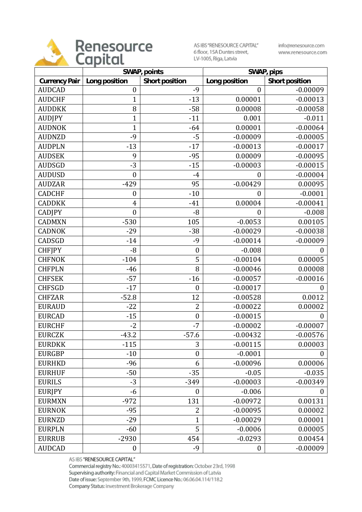

AS IBS "RENESOURCE CAPITAL" 6 floor, 15A Duntes street, LV-1005, Riga, Latvia

info@renesource.com www.renesource.com

|                      | SWAP, points     |                  | SWAP, pips       |                  |
|----------------------|------------------|------------------|------------------|------------------|
| <b>Currency Pair</b> | Long position    | Short position   | Long position    | Short position   |
| <b>AUDCAD</b>        | $\boldsymbol{0}$ | $-9$             | $\boldsymbol{0}$ | $-0.00009$       |
| <b>AUDCHF</b>        | $\mathbf{1}$     | $-13$            | 0.00001          | $-0.00013$       |
| <b>AUDDKK</b>        | 8                | $-58$            | 0.00008          | $-0.00058$       |
| <b>AUDJPY</b>        | $\mathbf{1}$     | $-11$            | 0.001            | $-0.011$         |
| <b>AUDNOK</b>        | $\mathbf{1}$     | $-64$            | 0.00001          | $-0.00064$       |
| <b>AUDNZD</b>        | -9               | $-5$             | $-0.00009$       | $-0.00005$       |
| <b>AUDPLN</b>        | $-13$            | $-17$            | $-0.00013$       | $-0.00017$       |
| <b>AUDSEK</b>        | 9                | $-95$            | 0.00009          | $-0.00095$       |
| <b>AUDSGD</b>        | $-3$             | $-15$            | $-0.00003$       | $-0.00015$       |
| <b>AUDUSD</b>        | $\boldsymbol{0}$ | $-4$             | $\boldsymbol{0}$ | $-0.00004$       |
| <b>AUDZAR</b>        | $-429$           | 95               | $-0.00429$       | 0.00095          |
| <b>CADCHF</b>        | $\boldsymbol{0}$ | $-10$            | $\overline{0}$   | $-0.0001$        |
| <b>CADDKK</b>        | 4                | $-41$            | 0.00004          | $-0.00041$       |
| <b>CADJPY</b>        | $\boldsymbol{0}$ | $-8$             | $\boldsymbol{0}$ | $-0.008$         |
| <b>CADMXN</b>        | $-530$           | 105              | $-0.0053$        | 0.00105          |
| <b>CADNOK</b>        | $-29$            | $-38$            | $-0.00029$       | $-0.00038$       |
| CADSGD               | $-14$            | $-9$             | $-0.00014$       | $-0.00009$       |
| <b>CHFJPY</b>        | $-8$             | $\boldsymbol{0}$ | $-0.008$         | $\boldsymbol{0}$ |
| <b>CHFNOK</b>        | $-104$           | 5                | $-0.00104$       | 0.00005          |
| <b>CHFPLN</b>        | $-46$            | 8                | $-0.00046$       | 0.00008          |
| <b>CHFSEK</b>        | $-57$            | $-16$            | $-0.00057$       | $-0.00016$       |
| <b>CHFSGD</b>        | $-17$            | $\boldsymbol{0}$ | $-0.00017$       | 0                |
| <b>CHFZAR</b>        | $-52.8$          | 12               | $-0.00528$       | 0.0012           |
| <b>EURAUD</b>        | $-22$            | $\overline{2}$   | $-0.00022$       | 0.00002          |
| <b>EURCAD</b>        | $-15$            | $\boldsymbol{0}$ | $-0.00015$       | $\boldsymbol{0}$ |
| <b>EURCHF</b>        | $-2$             | $-7$             | $-0.00002$       | $-0.00007$       |
| <b>EURCZK</b>        | $-43.2$          | $-57.6$          | $-0.00432$       | $-0.00576$       |
| <b>EURDKK</b>        | $-115$           | 3                | $-0.00115$       | 0.00003          |
| <b>EURGBP</b>        | $-10$            | $\boldsymbol{0}$ | $-0.0001$        | $\boldsymbol{0}$ |
| <b>EURHKD</b>        | $-96$            | 6                | $-0.00096$       | 0.00006          |
| <b>EURHUF</b>        | $-50$            | $-35$            | $-0.05$          | $-0.035$         |
| <b>EURILS</b>        | $-3$             | $-349$           | $-0.00003$       | $-0.00349$       |
| <b>EURIPY</b>        | -6               | $\boldsymbol{0}$ | $-0.006$         | 0                |
| <b>EURMXN</b>        | $-972$           | 131              | $-0.00972$       | 0.00131          |
| <b>EURNOK</b>        | $-95$            | 2                | $-0.00095$       | 0.00002          |
| <b>EURNZD</b>        | $-29$            | $\mathbf 1$      | $-0.00029$       | 0.00001          |
| <b>EURPLN</b>        | $-60$            | 5                | $-0.0006$        | 0.00005          |
| <b>EURRUB</b>        | $-2930$          | 454              | $-0.0293$        | 0.00454          |
| <b>AUDCAD</b>        | $\boldsymbol{0}$ | $-9$             | $\boldsymbol{0}$ | $-0.00009$       |

AS IBS "RENESOURCE CAPITAL"

Commercial registry No.: 40003415571, Date of registration: October 23rd, 1998 Supervising authority: Financial and Capital Market Commission of Latvia Date of issue: September 9th, 1999, FCMC Licence No.: 06.06.04.114/118.2 Company Status: Investment Brokerage Company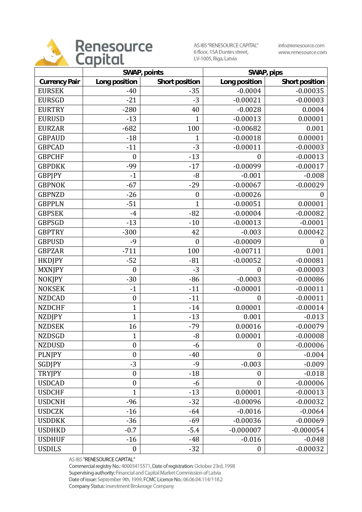

AS IBS "RENESOURCE CAPITAL" 6 floor, 15A Duntes street, LV-1005, Riga, Latvia

info@renesource.com www.renesource.com

|                      |                  | SWAP, points<br>SWAP, pips |                  |                  |
|----------------------|------------------|----------------------------|------------------|------------------|
| <b>Currency Pair</b> | Long position    | Short position             | Long position    | Short position   |
| <b>EURSEK</b>        | $-40$            | $-35$                      | $-0.0004$        | $-0.00035$       |
| <b>EURSGD</b>        | $-21$            | $-3$                       | $-0.00021$       | $-0.00003$       |
| <b>EURTRY</b>        | $-280$           | 40                         | $-0.0028$        | 0.0004           |
| <b>EURUSD</b>        | $-13$            | 1                          | $-0.00013$       | 0.00001          |
| <b>EURZAR</b>        | $-682$           | 100                        | $-0.00682$       | 0.001            |
| <b>GBPAUD</b>        | $-18$            | 1                          | $-0.00018$       | 0.00001          |
| <b>GBPCAD</b>        | $-11$            | $-3$                       | $-0.00011$       | $-0.00003$       |
| <b>GBPCHF</b>        | $\boldsymbol{0}$ | $-13$                      | $\boldsymbol{0}$ | $-0.00013$       |
| <b>GBPDKK</b>        | -99              | $-17$                      | $-0.00099$       | $-0.00017$       |
| <b>GBPJPY</b>        | $-1$             | $-8$                       | $-0.001$         | $-0.008$         |
| <b>GBPNOK</b>        | $-67$            | $-29$                      | $-0.00067$       | $-0.00029$       |
| <b>GBPNZD</b>        | $-26$            | $\boldsymbol{0}$           | $-0.00026$       | 0                |
| <b>GBPPLN</b>        | $-51$            | $\mathbf{1}$               | $-0.00051$       | 0.00001          |
| <b>GBPSEK</b>        | $-4$             | $-82$                      | $-0.00004$       | $-0.00082$       |
| <b>GBPSGD</b>        | $-13$            | $-10$                      | $-0.00013$       | $-0.0001$        |
| <b>GBPTRY</b>        | $-300$           | 42                         | $-0.003$         | 0.00042          |
| <b>GBPUSD</b>        | $-9$             | $\boldsymbol{0}$           | $-0.00009$       | $\boldsymbol{0}$ |
| <b>GBPZAR</b>        | $-711$           | 100                        | $-0.00711$       | 0.001            |
| <b>HKDJPY</b>        | $-52$            | $-81$                      | $-0.00052$       | $-0.00081$       |
| <b>MXNJPY</b>        | $\boldsymbol{0}$ | $-3$                       | $\boldsymbol{0}$ | $-0.00003$       |
| <b>NOKJPY</b>        | $-30$            | $-86$                      | $-0.0003$        | $-0.00086$       |
| <b>NOKSEK</b>        | $-1$             | $-11$                      | $-0.00001$       | $-0.00011$       |
| <b>NZDCAD</b>        | $\boldsymbol{0}$ | $-11$                      | $\overline{0}$   | $-0.00011$       |
| <b>NZDCHF</b>        | $\mathbf{1}$     | $-14$                      | 0.00001          | $-0.00014$       |
| <b>NZDJPY</b>        | $\overline{1}$   | $-13$                      | 0.001            | $-0.013$         |
| <b>NZDSEK</b>        | 16               | $-79$                      | 0.00016          | $-0.00079$       |
| <b>NZDSGD</b>        | $\mathbf{1}$     | $-8$                       | 0.00001          | $-0.00008$       |
| <b>NZDUSD</b>        | $\boldsymbol{0}$ | $-6$                       | $\boldsymbol{0}$ | $-0.00006$       |
| <b>PLNJPY</b>        | $\boldsymbol{0}$ | $-40$                      | $\overline{0}$   | $-0.004$         |
| SGDJPY               | $-3$             | $-9$                       | $-0.003$         | $-0.009$         |
| <b>TRYJPY</b>        | $\boldsymbol{0}$ | $-18$                      | $\boldsymbol{0}$ | $-0.018$         |
| <b>USDCAD</b>        | $\boldsymbol{0}$ | $-6$                       | $\overline{0}$   | $-0.00006$       |
| <b>USDCHF</b>        | $\mathbf{1}$     | $-13$                      | 0.00001          | $-0.00013$       |
| <b>USDCNH</b>        | $-96$            | $-32$                      | $-0.00096$       | $-0.00032$       |
| <b>USDCZK</b>        | $-16$            | $-64$                      | $-0.0016$        | $-0.0064$        |
| <b>USDDKK</b>        | $-36$            | $-69$                      | $-0.00036$       | $-0.00069$       |
| <b>USDHKD</b>        | $-0.7$           | $-5.4$                     | $-0.000007$      | $-0.000054$      |
| <b>USDHUF</b>        | $-16$            | $-48$                      | $-0.016$         | $-0.048$         |
| <b>USDILS</b>        | $\boldsymbol{0}$ | $-32$                      | $\boldsymbol{0}$ | $-0.00032$       |

AS IBS "RENESOURCE CAPITAL"

Commercial registry No.: 40003415571, Date of registration: October 23rd, 1998 Supervising authority: Financial and Capital Market Commission of Latvia Date of issue: September 9th, 1999, FCMC Licence No.: 06.06.04.114/118.2 Company Status: Investment Brokerage Company